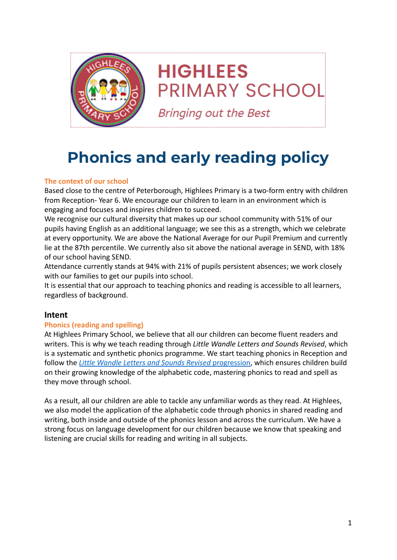

# **HIGHLEES PRIMARY SCHOOL**

**Bringing out the Best** 

# **Phonics and early reading policy**

# **The context of our school**

Based close to the centre of Peterborough, Highlees Primary is a two-form entry with children from Reception- Year 6. We encourage our children to learn in an environment which is engaging and focuses and inspires children to succeed.

We recognise our cultural diversity that makes up our school community with 51% of our pupils having English as an additional language; we see this as a strength, which we celebrate at every opportunity. We are above the National Average for our Pupil Premium and currently lie at the 87th percentile. We currently also sit above the national average in SEND, with 18% of our school having SEND.

Attendance currently stands at 94% with 21% of pupils persistent absences; we work closely with our families to get our pupils into school.

It is essential that our approach to teaching phonics and reading is accessible to all learners, regardless of background.

# **Intent**

# **Phonics (reading and spelling)**

At Highlees Primary School, we believe that all our children can become fluent readers and writers. This is why we teach reading through *Little Wandle Letters and Sounds Revised*, which is a systematic and synthetic phonics programme. We start teaching phonics in Reception and follow the *[Little Wandle Letters and Sounds Revised](https://wandlelearningtrust.sharepoint.com/sites/WTSA2/Shared%20Documents/Forms/AllItems.aspx?csf=1&web=1&e=dA5Kg8&cid=c07c4b6e%2D7eff%2D4834%2Db0a2%2De34e77f1195a&FolderCTID=0x0120002B68E4606EDEEB42917E483D1520364F&id=%2Fsites%2FWTSA2%2FShared%20Documents%2FLetters%20and%20Sounds%2FLetters%20and%20Sounds%20Revised%2FSigned%20off%20files%2FProgramme%20Overview%5FReception%20and%20Year%201%2Epdf&parent=%2Fsites%2FWTSA2%2FShared%20Documents%2FLetters%20and%20Sounds%2FLetters%20and%20Sounds%20Revised%2FSigned%20off%20files)* progression, which ensures children build on their growing knowledge of the alphabetic code, mastering phonics to read and spell as they move through school.

As a result, all our children are able to tackle any unfamiliar words as they read. At Highlees, we also model the application of the alphabetic code through phonics in shared reading and writing, both inside and outside of the phonics lesson and across the curriculum. We have a strong focus on language development for our children because we know that speaking and listening are crucial skills for reading and writing in all subjects.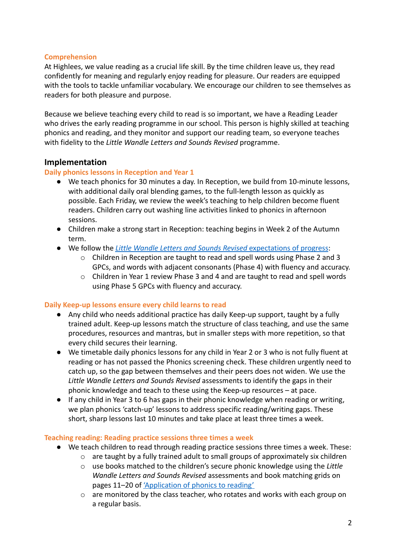# **Comprehension**

At Highlees, we value reading as a crucial life skill. By the time children leave us, they read confidently for meaning and regularly enjoy reading for pleasure. Our readers are equipped with the tools to tackle unfamiliar vocabulary. We encourage our children to see themselves as readers for both pleasure and purpose.

Because we believe teaching every child to read is so important, we have a Reading Leader who drives the early reading programme in our school. This person is highly skilled at teaching phonics and reading, and they monitor and support our reading team, so everyone teaches with fidelity to the *Little Wandle Letters and Sounds Revised* programme.

# **Implementation**

#### **Daily phonics lessons in Reception and Year 1**

- We teach phonics for 30 minutes a day. In Reception, we build from 10-minute lessons, with additional daily oral blending games, to the full-length lesson as quickly as possible. Each Friday, we review the week's teaching to help children become fluent readers. Children carry out washing line activities linked to phonics in afternoon sessions.
- Children make a strong start in Reception: teaching begins in Week 2 of the Autumn term.
- We follow the *[Little Wandle Letters and Sounds Revised](https://wandlelearningtrust.sharepoint.com/sites/WTSA2/Shared%20Documents/Forms/AllItems.aspx?csf=1&web=1&e=dA5Kg8&cid=c07c4b6e%2D7eff%2D4834%2Db0a2%2De34e77f1195a&FolderCTID=0x0120002B68E4606EDEEB42917E483D1520364F&id=%2Fsites%2FWTSA2%2FShared%20Documents%2FLetters%20and%20Sounds%2FLetters%20and%20Sounds%20Revised%2FSigned%20off%20files%2FProgramme%20Overview%5FReception%20and%20Year%201%2Epdf&parent=%2Fsites%2FWTSA2%2FShared%20Documents%2FLetters%20and%20Sounds%2FLetters%20and%20Sounds%20Revised%2FSigned%20off%20files)* expectations of progress:
	- o Children in Reception are taught to read and spell words using Phase 2 and 3 GPCs, and words with adjacent consonants (Phase 4) with fluency and accuracy.
	- o Children in Year 1 review Phase 3 and 4 and are taught to read and spell words using Phase 5 GPCs with fluency and accuracy.

#### **Daily Keep-up lessons ensure every child learns to read**

- Any child who needs additional practice has daily Keep-up support, taught by a fully trained adult. Keep-up lessons match the structure of class teaching, and use the same procedures, resources and mantras, but in smaller steps with more repetition, so that every child secures their learning.
- We timetable daily phonics lessons for any child in Year 2 or 3 who is not fully fluent at reading or has not passed the Phonics screening check. These children urgently need to catch up, so the gap between themselves and their peers does not widen. We use the *Little Wandle Letters and Sounds Revised* assessments to identify the gaps in their phonic knowledge and teach to these using the Keep-up resources – at pace.
- If any child in Year 3 to 6 has gaps in their phonic knowledge when reading or writing, we plan phonics 'catch-up' lessons to address specific reading/writing gaps. These short, sharp lessons last 10 minutes and take place at least three times a week.

# **Teaching reading: Reading practice sessions three times a week**

- We teach children to read through reading practice sessions three times a week. These:
	- o are taught by a fully trained adult to small groups of approximately six children
	- o use books matched to the children's secure phonic knowledge using the *Little Wandle Letters and Sounds Revised* assessments and book matching grids on pages 11–20 of ['Application of phonics to reading'](https://www.littlewandlelettersandsounds.org.uk/wp-content/uploads/2021/11/LS-KEY-GUIDANCE-APPLICATION-OF-PHONICS-NEW-PD03-1.pdf)
	- $\circ$  are monitored by the class teacher, who rotates and works with each group on a regular basis.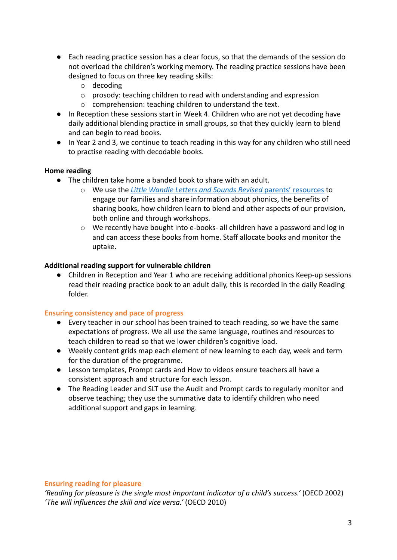- Each reading practice session has a clear focus, so that the demands of the session do not overload the children's working memory. The reading practice sessions have been designed to focus on three key reading skills:
	- o decoding
	- o prosody: teaching children to read with understanding and expression
	- o comprehension: teaching children to understand the text.
- In Reception these sessions start in Week 4. Children who are not yet decoding have daily additional blending practice in small groups, so that they quickly learn to blend and can begin to read books.
- In Year 2 and 3, we continue to teach reading in this way for any children who still need to practise reading with decodable books.

#### **Home reading**

- The children take home a banded book to share with an adult.
	- o We use the *[Little Wandle Letters and Sounds Revised](https://www.littlewandlelettersandsounds.org.uk/resources/for-parents/)* parents' resources to engage our families and share information about phonics, the benefits of sharing books, how children learn to blend and other aspects of our provision, both online and through workshops.
	- o We recently have bought into e-books- all children have a password and log in and can access these books from home. Staff allocate books and monitor the uptake.

#### **Additional reading support for vulnerable children**

Children in Reception and Year 1 who are receiving additional phonics Keep-up sessions read their reading practice book to an adult daily, this is recorded in the daily Reading folder.

#### **Ensuring consistency and pace of progress**

- Every teacher in our school has been trained to teach reading, so we have the same expectations of progress. We all use the same language, routines and resources to teach children to read so that we lower children's cognitive load.
- Weekly content grids map each element of new learning to each day, week and term for the duration of the programme.
- Lesson templates, Prompt cards and How to videos ensure teachers all have a consistent approach and structure for each lesson.
- The Reading Leader and SLT use the Audit and Prompt cards to regularly monitor and observe teaching; they use the summative data to identify children who need additional support and gaps in learning.

#### **Ensuring reading for pleasure**

*'Reading for pleasure is the single most important indicator of a child's success.'* (OECD 2002) *'The will influences the skill and vice versa.'* (OECD 2010)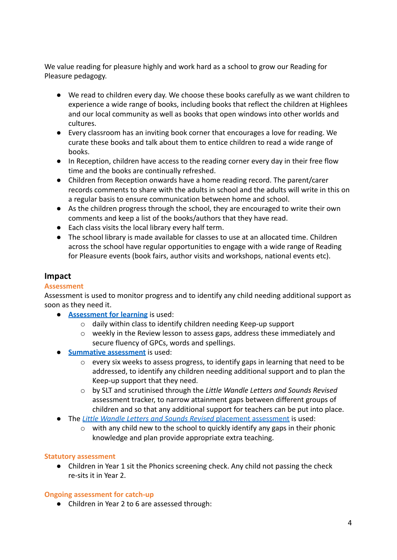We value reading for pleasure highly and work hard as a school to grow our Reading for Pleasure pedagogy.

- We read to children every day. We choose these books carefully as we want children to experience a wide range of books, including books that reflect the children at Highlees and our local community as well as books that open windows into other worlds and cultures.
- Every classroom has an inviting book corner that encourages a love for reading. We curate these books and talk about them to entice children to read a wide range of books.
- In Reception, children have access to the reading corner every day in their free flow time and the books are continually refreshed.
- Children from Reception onwards have a home reading record. The parent/carer records comments to share with the adults in school and the adults will write in this on a regular basis to ensure communication between home and school.
- As the children progress through the school, they are encouraged to write their own comments and keep a list of the books/authors that they have read.
- Each class visits the local library every half term.
- The school library is made available for classes to use at an allocated time. Children across the school have regular opportunities to engage with a wide range of Reading for Pleasure events (book fairs, author visits and workshops, national events etc).

# **Impact**

# **Assessment**

Assessment is used to monitor progress and to identify any child needing additional support as soon as they need it.

- **[Assessment for learning](https://www.littlewandlelettersandsounds.org.uk/wp-content/uploads/2021/03/LS-KEY-GUIDANCE-GETTING-STARTED-ASSESSMENT-FINAL.pdf)** is used:
	- o daily within class to identify children needing Keep-up support
	- $\circ$  weekly in the Review lesson to assess gaps, address these immediately and secure fluency of GPCs, words and spellings.
- **[Summative assessment](https://www.littlewandlelettersandsounds.org.uk/resources/my-letters-and-sounds/assessment-tools/)** is used:
	- o every six weeks to assess progress, to identify gaps in learning that need to be addressed, to identify any children needing additional support and to plan the Keep-up support that they need.
	- o by SLT and scrutinised through the *Little Wandle Letters and Sounds Revised* assessment tracker, to narrow attainment gaps between different groups of children and so that any additional support for teachers can be put into place.
- The *[Little Wandle Letters and Sounds Revised](https://www.littlewandlelettersandsounds.org.uk/resources/my-letters-and-sounds/assessment-tools/)* placement assessment is used:
	- $\circ$  with any child new to the school to quickly identify any gaps in their phonic knowledge and plan provide appropriate extra teaching.

#### **Statutory assessment**

● Children in Year 1 sit the Phonics screening check. Any child not passing the check re-sits it in Year 2.

# **Ongoing assessment for catch-up**

● Children in Year 2 to 6 are assessed through: